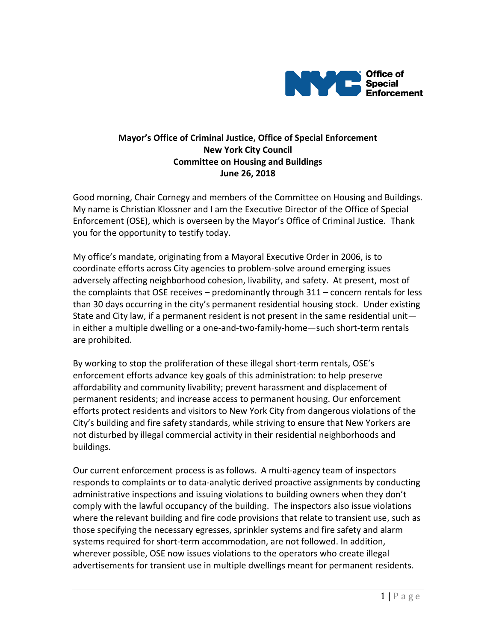

## **Mayor's Office of Criminal Justice, Office of Special Enforcement New York City Council Committee on Housing and Buildings June 26, 2018**

Good morning, Chair Cornegy and members of the Committee on Housing and Buildings. My name is Christian Klossner and I am the Executive Director of the Office of Special Enforcement (OSE), which is overseen by the Mayor's Office of Criminal Justice. Thank you for the opportunity to testify today.

My office's mandate, originating from a Mayoral Executive Order in 2006, is to coordinate efforts across City agencies to problem-solve around emerging issues adversely affecting neighborhood cohesion, livability, and safety. At present, most of the complaints that OSE receives – predominantly through 311 – concern rentals for less than 30 days occurring in the city's permanent residential housing stock. Under existing State and City law, if a permanent resident is not present in the same residential unit in either a multiple dwelling or a one-and-two-family-home—such short-term rentals are prohibited.

By working to stop the proliferation of these illegal short-term rentals, OSE's enforcement efforts advance key goals of this administration: to help preserve affordability and community livability; prevent harassment and displacement of permanent residents; and increase access to permanent housing. Our enforcement efforts protect residents and visitors to New York City from dangerous violations of the City's building and fire safety standards, while striving to ensure that New Yorkers are not disturbed by illegal commercial activity in their residential neighborhoods and buildings.

Our current enforcement process is as follows. A multi-agency team of inspectors responds to complaints or to data-analytic derived proactive assignments by conducting administrative inspections and issuing violations to building owners when they don't comply with the lawful occupancy of the building. The inspectors also issue violations where the relevant building and fire code provisions that relate to transient use, such as those specifying the necessary egresses, sprinkler systems and fire safety and alarm systems required for short-term accommodation, are not followed. In addition, wherever possible, OSE now issues violations to the operators who create illegal advertisements for transient use in multiple dwellings meant for permanent residents.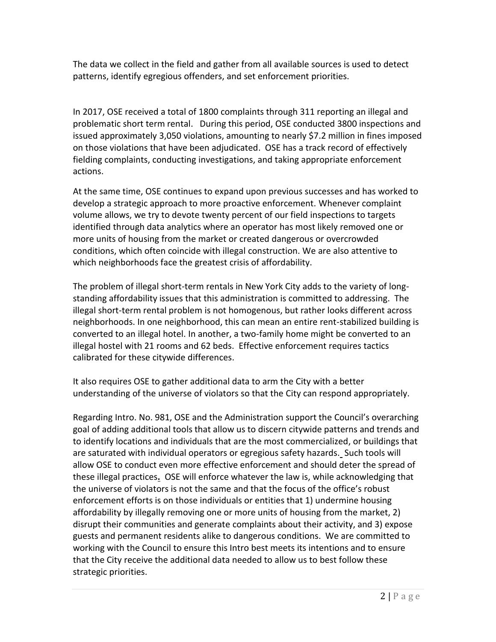The data we collect in the field and gather from all available sources is used to detect patterns, identify egregious offenders, and set enforcement priorities.

In 2017, OSE received a total of 1800 complaints through 311 reporting an illegal and problematic short term rental. During this period, OSE conducted 3800 inspections and issued approximately 3,050 violations, amounting to nearly \$7.2 million in fines imposed on those violations that have been adjudicated. OSE has a track record of effectively fielding complaints, conducting investigations, and taking appropriate enforcement actions.

At the same time, OSE continues to expand upon previous successes and has worked to develop a strategic approach to more proactive enforcement. Whenever complaint volume allows, we try to devote twenty percent of our field inspections to targets identified through data analytics where an operator has most likely removed one or more units of housing from the market or created dangerous or overcrowded conditions, which often coincide with illegal construction. We are also attentive to which neighborhoods face the greatest crisis of affordability.

The problem of illegal short-term rentals in New York City adds to the variety of longstanding affordability issues that this administration is committed to addressing. The illegal short-term rental problem is not homogenous, but rather looks different across neighborhoods. In one neighborhood, this can mean an entire rent-stabilized building is converted to an illegal hotel. In another, a two-family home might be converted to an illegal hostel with 21 rooms and 62 beds. Effective enforcement requires tactics calibrated for these citywide differences.

It also requires OSE to gather additional data to arm the City with a better understanding of the universe of violators so that the City can respond appropriately.

Regarding Intro. No. 981, OSE and the Administration support the Council's overarching goal of adding additional tools that allow us to discern citywide patterns and trends and to identify locations and individuals that are the most commercialized, or buildings that are saturated with individual operators or egregious safety hazards. Such tools will allow OSE to conduct even more effective enforcement and should deter the spread of these illegal practices**.** OSE will enforce whatever the law is, while acknowledging that the universe of violators is not the same and that the focus of the office's robust enforcement efforts is on those individuals or entities that 1) undermine housing affordability by illegally removing one or more units of housing from the market, 2) disrupt their communities and generate complaints about their activity, and 3) expose guests and permanent residents alike to dangerous conditions. We are committed to working with the Council to ensure this Intro best meets its intentions and to ensure that the City receive the additional data needed to allow us to best follow these strategic priorities.